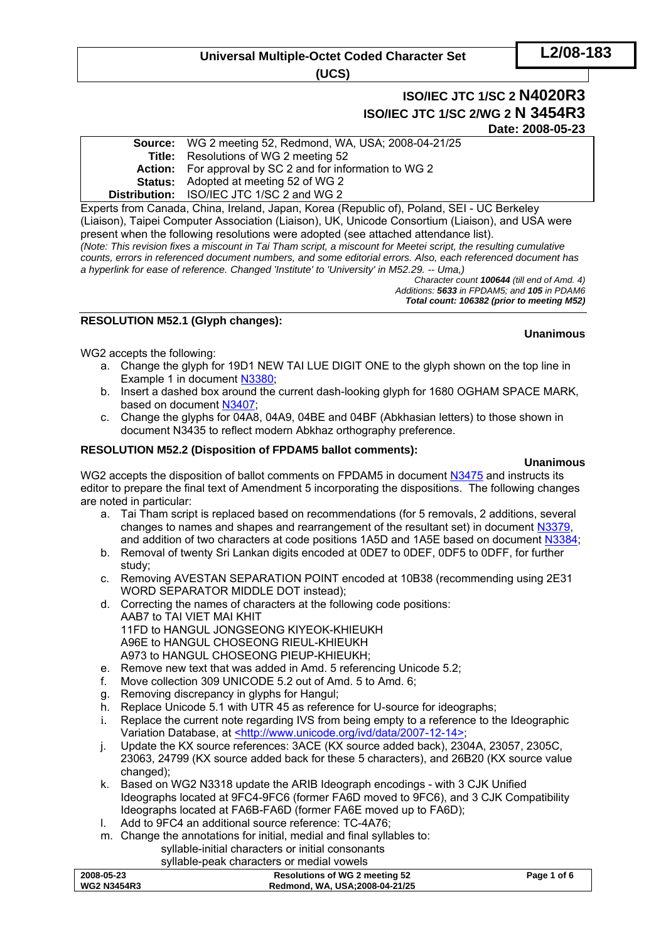# **Universal Multiple-Octet Coded Character Set**

**(UCS)** 

# **ISO/IEC JTC 1/SC 2 N4020R3 ISO/IEC JTC 1/SC 2/WG 2 N 3454R3 Date: 2008-05-23**

**Source:** WG 2 meeting 52, Redmond, WA, USA; 2008-04-21/25 **Title:** Resolutions of WG 2 meeting 52 **Action:** For approval by SC 2 and for information to WG 2 **Status:** Adopted at meeting 52 of WG 2 **Distribution:** ISO/IEC JTC 1/SC 2 and WG 2

Experts from Canada, China, Ireland, Japan, Korea (Republic of), Poland, SEI - UC Berkeley (Liaison), Taipei Computer Association (Liaison), UK, Unicode Consortium (Liaison), and USA were present when the following resolutions were adopted (see attached attendance list). *(Note: This revision fixes a miscount in Tai Tham script, a miscount for Meetei script, the resulting cumulative counts, errors in referenced document numbers, and some editorial errors. Also, each referenced document has a hyperlink for ease of reference. Changed 'Institute' to 'University' in M52.29. -- Uma,)* 

*Character count 100644 (till end of Amd. 4) Additions: 5633 in FPDAM5; and 105 in PDAM6 Total count: 106382 (prior to meeting M52)* 

### **RESOLUTION M52.1 (Glyph changes):**

#### **Unanimous**

WG2 accepts the following:

- a. Change the glyph for 19D1 NEW TAI LUE DIGIT ONE to the glyph shown on the top line in Example 1 in document [N3380;](http://www.dkuug.dk/jtc1/sc2/wg2/docs/N3380.pdf)
- b. Insert a dashed box around the current dash-looking glyph for 1680 OGHAM SPACE MARK, based on document [N3407](http://www.dkuug.dk/jtc1/sc2/wg2/docs/N3407.pdf);
- c. Change the glyphs for 04A8, 04A9, 04BE and 04BF (Abkhasian letters) to those shown in document N3435 to reflect modern Abkhaz orthography preference.

### **RESOLUTION M52.2 (Disposition of FPDAM5 ballot comments):**

**Unanimous**  WG2 accepts the disposition of ballot comments on FPDAM5 in document [N3475](http://www.dkuug.dk/jtc1/sc2/wg2/docs/N3475.pdf) and instructs its editor to prepare the final text of Amendment 5 incorporating the dispositions. The following changes are noted in particular:

- a. Tai Tham script is replaced based on recommendations (for 5 removals, 2 additions, several changes to names and shapes and rearrangement of the resultant set) in document [N3379,](http://www.dkuug.dk/jtc1/sc2/wg2/docs/N3379.pdf) and addition of two characters at code positions 1A5D and 1A5E based on document [N3384;](http://www.dkuug.dk/jtc1/sc2/wg2/docs/N3384.pdf)
- b. Removal of twenty Sri Lankan digits encoded at 0DE7 to 0DEF, 0DF5 to 0DFF, for further study;
- c. Removing AVESTAN SEPARATION POINT encoded at 10B38 (recommending using 2E31 WORD SEPARATOR MIDDLE DOT instead);
- d. Correcting the names of characters at the following code positions: AAB7 to TAI VIET MAI KHIT 11FD to HANGUL JONGSEONG KIYEOK-KHIEUKH A96E to HANGUL CHOSEONG RIEUL-KHIEUKH A973 to HANGUL CHOSEONG PIEUP-KHIEUKH;
- e. Remove new text that was added in Amd. 5 referencing Unicode 5.2;
- f. Move collection 309 UNICODE 5.2 out of Amd. 5 to Amd. 6;
- g. Removing discrepancy in glyphs for Hangul;
- h. Replace Unicode 5.1 with UTR 45 as reference for U-source for ideographs;
- i. Replace the current note regarding IVS from being empty to a reference to the Ideographic Variation Database, at [<http://www.unicode.org/ivd/data/2007-12-14>;](http://www.unicode.org/ivd/data/2007-12-14)
- j. Update the KX source references: 3ACE (KX source added back), 2304A, 23057, 2305C, 23063, 24799 (KX source added back for these 5 characters), and 26B20 (KX source value changed);
- k. Based on WG2 N3318 update the ARIB Ideograph encodings with 3 CJK Unified Ideographs located at 9FC4-9FC6 (former FA6D moved to 9FC6), and 3 CJK Compatibility Ideographs located at FA6B-FA6D (former FA6E moved up to FA6D);
- l. Add to 9FC4 an additional source reference: TC-4A76;
- m. Change the annotations for initial, medial and final syllables to:

syllable-initial characters or initial consonants syllable-peak characters or medial vowels

| 2008-05-23         | <b>Resolutions of WG 2 meeting 52</b> | Page 1 of 6 |
|--------------------|---------------------------------------|-------------|
| <b>WG2 N3454R3</b> | Redmond, WA, USA;2008-04-21/25        |             |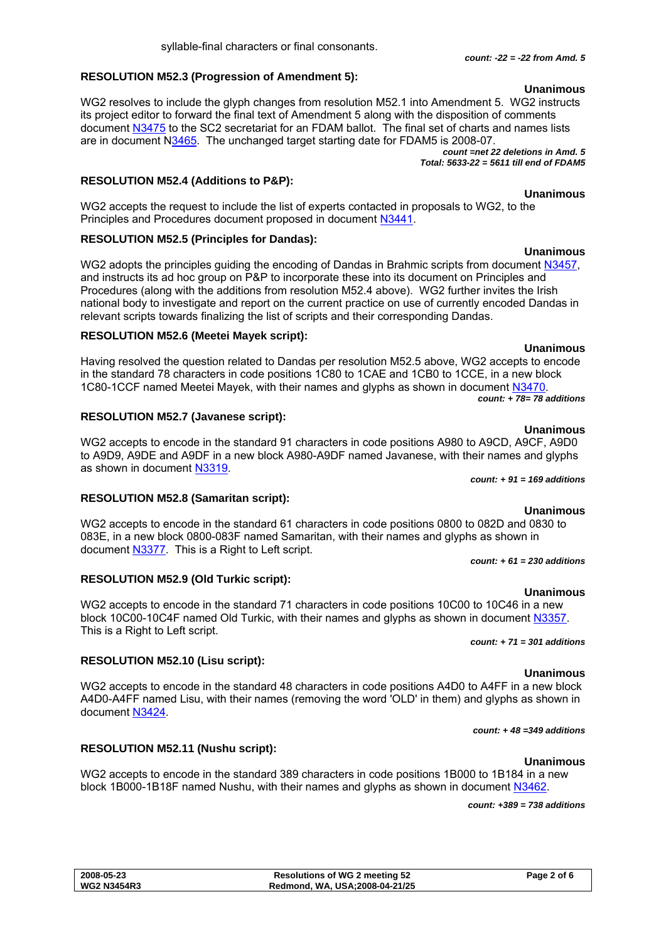#### **RESOLUTION M52.3 (Progression of Amendment 5):**

WG2 resolves to include the glyph changes from resolution M52.1 into Amendment 5. WG2 instructs its project editor to forward the final text of Amendment 5 along with the disposition of comments document [N3475](http://www.dkuug.dk/jtc1/sc2/wg2/docs/N3475.pdf) to the SC2 secretariat for an FDAM ballot. The final set of charts and names lists are in document N[3465.](http://www.dkuug.dk/jtc1/sc2/wg2/docs/N3465.pdf) The unchanged target starting date for FDAM5 is 2008-07.

*count =net 22 deletions in Amd. 5 Total: 5633-22 = 5611 till end of FDAM5*

#### **RESOLUTION M52.4 (Additions to P&P):**

WG2 accepts the request to include the list of experts contacted in proposals to WG2, to the Principles and Procedures document proposed in document [N3441](http://www.dkuug.dk/jtc1/sc2/wg2/docs/N3441.pdf).

#### **RESOLUTION M52.5 (Principles for Dandas):**

WG2 adopts the principles quiding the encoding of Dandas in Brahmic scripts from document [N3457](http://www.dkuug.dk/jtc1/sc2/wg2/docs/N3457.doc). and instructs its ad hoc group on P&P to incorporate these into its document on Principles and Procedures (along with the additions from resolution M52.4 above). WG2 further invites the Irish national body to investigate and report on the current practice on use of currently encoded Dandas in relevant scripts towards finalizing the list of scripts and their corresponding Dandas.

#### **RESOLUTION M52.6 (Meetei Mayek script):**

**Unanimous**  Having resolved the question related to Dandas per resolution M52.5 above, WG2 accepts to encode in the standard 78 characters in code positions 1C80 to 1CAE and 1CB0 to 1CCE, in a new block 1C80-1CCF named Meetei Mayek, with their names and glyphs as shown in document [N3470.](http://www.dkuug.dk/jtc1/sc2/wg2/docs/N3470.pdf)

*count: + 78= 78 additions* 

#### **RESOLUTION M52.7 (Javanese script):**

**RESOLUTION M52.8 (Samaritan script):** 

WG2 accepts to encode in the standard 91 characters in code positions A980 to A9CD, A9CF, A9D0 to A9D9, A9DE and A9DF in a new block A980-A9DF named Javanese, with their names and glyphs as shown in document [N3319.](http://www.dkuug.dk/jtc1/sc2/wg2/docs/N3319.doc)

*count: + 91 = 169 additions* 

#### **Unanimous**

WG2 accepts to encode in the standard 61 characters in code positions 0800 to 082D and 0830 to 083E, in a new block 0800-083F named Samaritan, with their names and glyphs as shown in document [N3377](http://www.dkuug.dk/jtc1/sc2/wg2/docs/N3377.pdf). This is a Right to Left script.

#### **RESOLUTION M52.9 (Old Turkic script):**

**Unanimous**  WG2 accepts to encode in the standard 71 characters in code positions 10C00 to 10C46 in a new block 10C00-10C4F named Old Turkic, with their names and glyphs as shown in document [N3357.](http://www.dkuug.dk/jtc1/sc2/wg2/docs/N3357.pdf) This is a Right to Left script.

#### **RESOLUTION M52.10 (Lisu script):**

WG2 accepts to encode in the standard 48 characters in code positions A4D0 to A4FF in a new block A4D0-A4FF named Lisu, with their names (removing the word 'OLD' in them) and glyphs as shown in document [N3424](http://www.dkuug.dk/jtc1/sc2/wg2/docs/N3424.pdf).

#### *count: + 48 =349 additions*

### **Unanimous**

**RESOLUTION M52.11 (Nushu script):** 

WG2 accepts to encode in the standard 389 characters in code positions 1B000 to 1B184 in a new block 1B000-1B18F named Nushu, with their names and glyphs as shown in document [N3462.](http://www.dkuug.dk/jtc1/sc2/wg2/docs/N3462.pdf)

*count: +389 = 738 additions* 

**Unanimous** 

# **Unanimous**

**Unanimous** 

### **Unanimous**

# *count: + 61 = 230 additions*

# *count: + 71 = 301 additions*

### **Unanimous**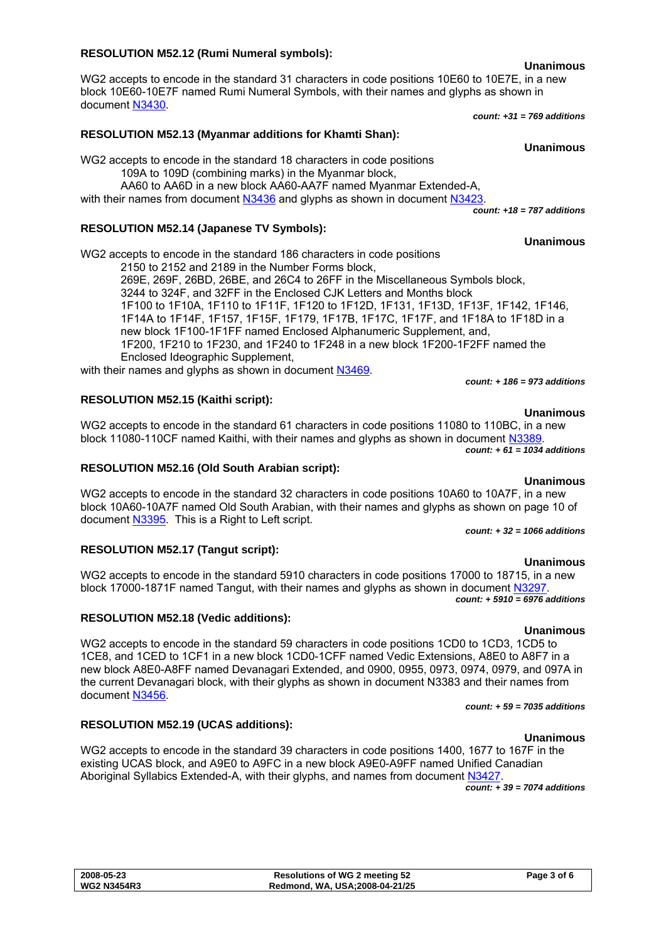#### **2008-05-23 Resolutions of WG 2 meeting 52 Page 3 of 6 WG2 N3454R3 Redmond, WA, USA;2008-04-21/25**

### **RESOLUTION M52.12 (Rumi Numeral symbols):**

WG2 accepts to encode in the standard 31 characters in code positions 10E60 to 10E7E, in a new block 10E60-10E7F named Rumi Numeral Symbols, with their names and glyphs as shown in document [N3430](http://www.dkuug.dk/jtc1/sc2/wg2/docs/N3430.pdf). *count: +31 = 769 additions* 

### **RESOLUTION M52.13 (Myanmar additions for Khamti Shan):**

WG2 accepts to encode in the standard 18 characters in code positions 109A to 109D (combining marks) in the Myanmar block, AA60 to AA6D in a new block AA60-AA7F named Myanmar Extended-A,

with their names from document [N3436](http://www.dkuug.dk/jtc1/sc2/wg2/docs/N3436.pdf) and glyphs as shown in document [N3423](http://www.dkuug.dk/jtc1/sc2/wg2/docs/N3423.pdf)

# **RESOLUTION M52.14 (Japanese TV Symbols):**

WG2 accepts to encode in the standard 186 characters in code positions

2150 to 2152 and 2189 in the Number Forms block, 269E, 269F, 26BD, 26BE, and 26C4 to 26FF in the Miscellaneous Symbols block, 3244 to 324F, and 32FF in the Enclosed CJK Letters and Months block 1F100 to 1F10A, 1F110 to 1F11F, 1F120 to 1F12D, 1F131, 1F13D, 1F13F, 1F142, 1F146, 1F14A to 1F14F, 1F157, 1F15F, 1F179, 1F17B, 1F17C, 1F17F, and 1F18A to 1F18D in a new block 1F100-1F1FF named Enclosed Alphanumeric Supplement, and, 1F200, 1F210 to 1F230, and 1F240 to 1F248 in a new block 1F200-1F2FF named the Enclosed Ideographic Supplement,

with their names and glyphs as shown in document [N3469.](http://www.dkuug.dk/jtc1/sc2/wg2/docs/N3469.pdf)

### **RESOLUTION M52.15 (Kaithi script):**

WG2 accepts to encode in the standard 61 characters in code positions 11080 to 110BC, in a new block 11080-110CF named Kaithi, with their names and glyphs as shown in document [N3389.](http://www.dkuug.dk/jtc1/sc2/wg2/docs/N3389.pdf) *count: + 61 = 1034 additions* 

### **RESOLUTION M52.16 (Old South Arabian script):**

**Unanimous**  WG2 accepts to encode in the standard 32 characters in code positions 10A60 to 10A7F, in a new block 10A60-10A7F named Old South Arabian, with their names and glyphs as shown on page 10 of document [N3395](http://www.dkuug.dk/jtc1/sc2/wg2/docs/N3395.pdf). This is a Right to Left script.

*count: + 32 = 1066 additions* 

### **RESOLUTION M52.17 (Tangut script):**

**RESOLUTION M52.18 (Vedic additions):** 

**RESOLUTION M52.19 (UCAS additions):** 

WG2 accepts to encode in the standard 5910 characters in code positions 17000 to 18715, in a new block 17000-1871F named Tangut, with their names and glyphs as shown in document [N3297.](http://www.dkuug.dk/jtc1/sc2/wg2/docs/N3297.pdf)

*count: + 5910 = 6976 additions* 

#### **Unanimous**

**Unanimous** 

WG2 accepts to encode in the standard 59 characters in code positions 1CD0 to 1CD3, 1CD5 to 1CE8, and 1CED to 1CF1 in a new block 1CD0-1CFF named Vedic Extensions, A8E0 to A8F7 in a new block A8E0-A8FF named Devanagari Extended, and 0900, 0955, 0973, 0974, 0979, and 097A in the current Devanagari block, with their glyphs as shown in document N3383 and their names from document [N3456](http://www.dkuug.dk/jtc1/sc2/wg2/docs/N3456.pdf).

*count: + 59 = 7035 additions* 

#### **Unanimous**

WG2 accepts to encode in the standard 39 characters in code positions 1400, 1677 to 167F in the existing UCAS block, and A9E0 to A9FC in a new block A9E0-A9FF named Unified Canadian Aboriginal Syllabics Extended-A, with their glyphs, and names from document [N3427.](http://www.dkuug.dk/jtc1/sc2/wg2/docs/N3427.pdf)

*count: + 39 = 7074 additions* 

# **Unanimous**

**Unanimous** 

**Unanimous** 

*count: + 186 = 973 additions* 

*count: +18 = 787 additions* 

**Unanimous**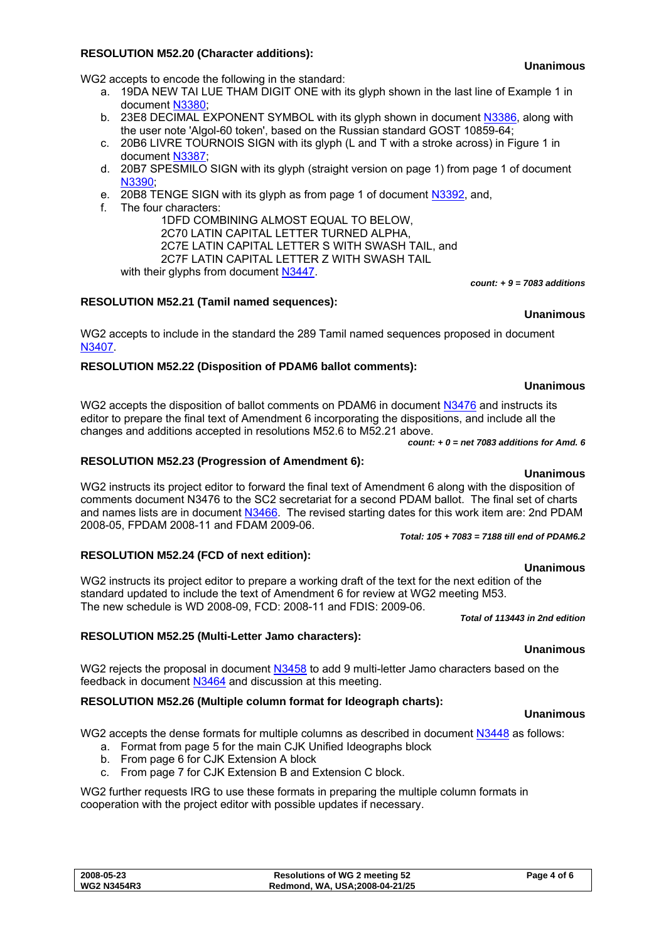#### **2008-05-23 Resolutions of WG 2 meeting 52 Page 4 of 6 WG2 N3454R3 Redmond, WA, USA;2008-04-21/25**

#### **RESOLUTION M52.20 (Character additions):**

WG2 accepts to encode the following in the standard:

- a. 19DA NEW TAI LUE THAM DIGIT ONE with its glyph shown in the last line of Example 1 in document [N3380](http://www.dkuug.dk/jtc1/sc2/wg2/docs/N3380.pdf);
- b. 23E8 DECIMAL EXPONENT SYMBOL with its glyph shown in document [N3386](http://www.dkuug.dk/jtc1/sc2/wg2/docs/N3386.pdf), along with the user note 'Algol-60 token', based on the Russian standard GOST 10859-64;
- c. 20B6 LIVRE TOURNOIS SIGN with its glyph (L and T with a stroke across) in Figure 1 in document [N3387](http://www.dkuug.dk/jtc1/sc2/wg2/docs/N3387.pdf);
- d. 20B7 SPESMILO SIGN with its glyph (straight version on page 1) from page 1 of document [N3390;](http://www.dkuug.dk/jtc1/sc2/wg2/docs/N3390.pdf)
- e. 20B8 TENGE SIGN with its glyph as from page 1 of document [N3392](http://www.dkuug.dk/jtc1/sc2/wg2/docs/N3392.pdf), and,
- f. The four characters:

1DFD COMBINING ALMOST EQUAL TO BELOW, 2C70 LATIN CAPITAL LETTER TURNED ALPHA, 2C7E LATIN CAPITAL LETTER S WITH SWASH TAIL, and 2C7F LATIN CAPITAL LETTER Z WITH SWASH TAIL with their glyphs from document [N3447](http://www.dkuug.dk/jtc1/sc2/wg2/docs/N3447.pdf).

### **RESOLUTION M52.21 (Tamil named sequences):**

WG2 accepts to include in the standard the 289 Tamil named sequences proposed in document [N3407.](http://www.dkuug.dk/jtc1/sc2/wg2/docs/N3407.pdf)

### **RESOLUTION M52.22 (Disposition of PDAM6 ballot comments):**

WG2 accepts the disposition of ballot comments on PDAM6 in document [N3476](http://www.dkuug.dk/jtc1/sc2/wg2/docs/N3476.pdf) and instructs its editor to prepare the final text of Amendment 6 incorporating the dispositions, and include all the changes and additions accepted in resolutions M52.6 to M52.21 above.

*count: + 0 = net 7083 additions for Amd. 6* 

### **RESOLUTION M52.23 (Progression of Amendment 6):**

WG2 instructs its project editor to forward the final text of Amendment 6 along with the disposition of comments document N3476 to the SC2 secretariat for a second PDAM ballot. The final set of charts and names lists are in document [N3466](http://www.dkuug.dk/jtc1/sc2/wg2/docs/N3466.pdf). The revised starting dates for this work item are: 2nd PDAM 2008-05, FPDAM 2008-11 and FDAM 2009-06.

#### *Total: 105 + 7083 = 7188 till end of PDAM6.2*

#### **RESOLUTION M52.24 (FCD of next edition):**

**Unanimous**  WG2 instructs its project editor to prepare a working draft of the text for the next edition of the standard updated to include the text of Amendment 6 for review at WG2 meeting M53. The new schedule is WD 2008-09, FCD: 2008-11 and FDIS: 2009-06. *Total of 113443 in 2nd edition*

#### **RESOLUTION M52.25 (Multi-Letter Jamo characters):**

WG2 rejects the proposal in document [N3458](http://www.dkuug.dk/jtc1/sc2/wg2/docs/N3458.pdf) to add 9 multi-letter Jamo characters based on the feedback in document [N3464](http://www.dkuug.dk/jtc1/sc2/wg2/docs/N3464.pdf) and discussion at this meeting.

### **RESOLUTION M52.26 (Multiple column format for Ideograph charts):**

WG2 accepts the dense formats for multiple columns as described in document [N3448](http://www.dkuug.dk/jtc1/sc2/wg2/docs/N3448.pdf) as follows:

- a. Format from page 5 for the main CJK Unified Ideographs block
- b. From page 6 for CJK Extension A block
- c. From page 7 for CJK Extension B and Extension C block.

WG2 further requests IRG to use these formats in preparing the multiple column formats in cooperation with the project editor with possible updates if necessary.

#### **Unanimous**

**Unanimous** 

*count: + 9 = 7083 additions* 

**Unanimous** 

**Unanimous** 

#### **Unanimous**

**Unanimous**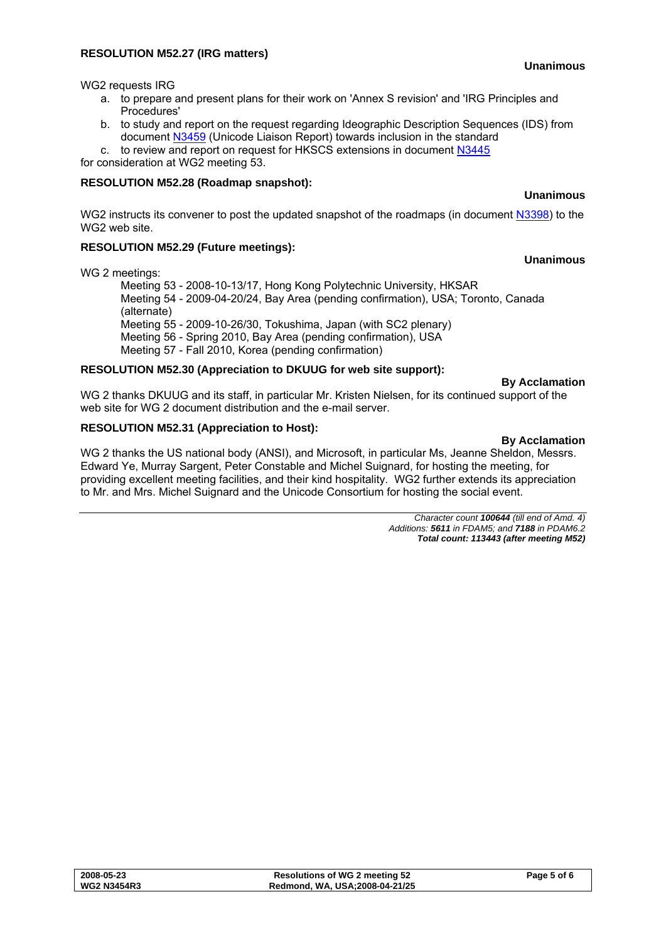#### **RESOLUTION M52.27 (IRG matters)**

**Unanimous** 

WG2 requests IRG

- a. to prepare and present plans for their work on 'Annex S revision' and 'IRG Principles and Procedures'
- b. to study and report on the request regarding Ideographic Description Sequences (IDS) from document [N3459](http://www.dkuug.dk/jtc1/sc2/wg2/docs/N3459.pdf) (Unicode Liaison Report) towards inclusion in the standard

c. to review and report on request for HKSCS extensions in document [N3445](http://www.dkuug.dk/jtc1/sc2/wg2/docs/N3445.pdf) for consideration at WG2 meeting 53.

#### **RESOLUTION M52.28 (Roadmap snapshot):**

#### **Unanimous**

**Unanimous** 

WG2 instructs its convener to post the updated snapshot of the roadmaps (in document [N3398](http://www.dkuug.dk/jtc1/sc2/wg2/docs/N3398.pdf)) to the WG2 web site.

### **RESOLUTION M52.29 (Future meetings):**

WG 2 meetings:

Meeting 53 - 2008-10-13/17, Hong Kong Polytechnic University, HKSAR Meeting 54 - 2009-04-20/24, Bay Area (pending confirmation), USA; Toronto, Canada (alternate) Meeting 55 - 2009-10-26/30, Tokushima, Japan (with SC2 plenary) Meeting 56 - Spring 2010, Bay Area (pending confirmation), USA Meeting 57 - Fall 2010, Korea (pending confirmation)

### **RESOLUTION M52.30 (Appreciation to DKUUG for web site support):**

#### **By Acclamation**

WG 2 thanks DKUUG and its staff, in particular Mr. Kristen Nielsen, for its continued support of the web site for WG 2 document distribution and the e-mail server.

### **RESOLUTION M52.31 (Appreciation to Host):**

**By Acclamation**  WG 2 thanks the US national body (ANSI), and Microsoft, in particular Ms, Jeanne Sheldon, Messrs. Edward Ye, Murray Sargent, Peter Constable and Michel Suignard, for hosting the meeting, for providing excellent meeting facilities, and their kind hospitality. WG2 further extends its appreciation to Mr. and Mrs. Michel Suignard and the Unicode Consortium for hosting the social event.

> *Character count 100644 (till end of Amd. 4) Additions: 5611 in FDAM5; and 7188 in PDAM6.2 Total count: 113443 (after meeting M52)*